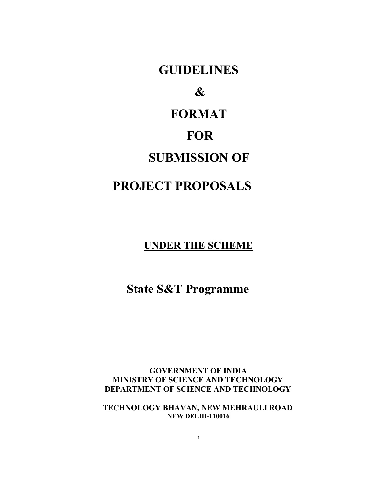# **GUIDELINES**

# **&**

# **FORMAT**

# **FOR**

# **SUBMISSION OF**

# **PROJECT PROPOSALS**

# **UNDER THE SCHEME**

# **State S&T Programme**

# **GOVERNMENT OF INDIA MINISTRY OF SCIENCE AND TECHNOLOGY DEPARTMENT OF SCIENCE AND TECHNOLOGY**

# **TECHNOLOGY BHAVAN, NEW MEHRAULI ROAD NEW DELHI-110016**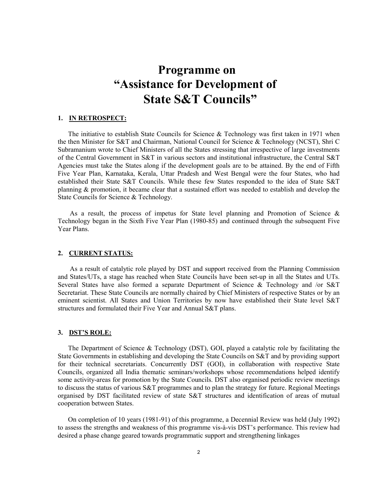# **Programme on "Assistance for Development of State S&T Councils"**

# **1. IN RETROSPECT:**

The initiative to establish State Councils for Science & Technology was first taken in 1971 when the then Minister for S&T and Chairman, National Council for Science & Technology (NCST), Shri C Subramanium wrote to Chief Ministers of all the States stressing that irrespective of large investments of the Central Government in S&T in various sectors and institutional infrastructure, the Central S&T Agencies must take the States along if the development goals are to be attained. By the end of Fifth Five Year Plan, Karnataka, Kerala, Uttar Pradesh and West Bengal were the four States, who had established their State S&T Councils. While these few States responded to the idea of State S&T planning & promotion, it became clear that a sustained effort was needed to establish and develop the State Councils for Science & Technology.

As a result, the process of impetus for State level planning and Promotion of Science & Technology began in the Sixth Five Year Plan (1980-85) and continued through the subsequent Five Year Plans.

### **2. CURRENT STATUS:**

As a result of catalytic role played by DST and support received from the Planning Commission and States/UTs, a stage has reached when State Councils have been set-up in all the States and UTs. Several States have also formed a separate Department of Science & Technology and /or S&T Secretariat. These State Councils are normally chaired by Chief Ministers of respective States or by an eminent scientist. All States and Union Territories by now have established their State level S&T structures and formulated their Five Year and Annual S&T plans.

### **3. DST'S ROLE:**

The Department of Science & Technology (DST), GOI, played a catalytic role by facilitating the State Governments in establishing and developing the State Councils on S&T and by providing support for their technical secretariats. Concurrently DST (GOI), in collaboration with respective State Councils, organized all India thematic seminars/workshops whose recommendations helped identify some activity-areas for promotion by the State Councils. DST also organised periodic review meetings to discuss the status of various S&T programmes and to plan the strategy for future. Regional Meetings organised by DST facilitated review of state S&T structures and identification of areas of mutual cooperation between States.

On completion of 10 years (1981-91) of this programme, a Decennial Review was held (July 1992) to assess the strengths and weakness of this programme vis-à-vis DST's performance. This review had desired a phase change geared towards programmatic support and strengthening linkages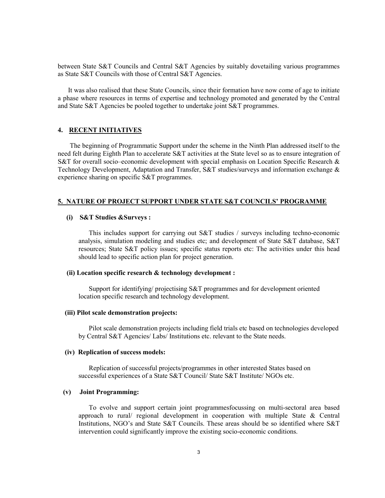between State S&T Councils and Central S&T Agencies by suitably dovetailing various programmes as State S&T Councils with those of Central S&T Agencies.

It was also realised that these State Councils, since their formation have now come of age to initiate a phase where resources in terms of expertise and technology promoted and generated by the Central and State S&T Agencies be pooled together to undertake joint S&T programmes.

# **4. RECENT INITIATIVES**

The beginning of Programmatic Support under the scheme in the Ninth Plan addressed itself to the need felt during Eighth Plan to accelerate S&T activities at the State level so as to ensure integration of S&T for overall socio–economic development with special emphasis on Location Specific Research & Technology Development, Adaptation and Transfer, S&T studies/surveys and information exchange & experience sharing on specific S&T programmes.

# **5. NATURE OF PROJECT SUPPORT UNDER STATE S&T COUNCILS' PROGRAMME**

# **(i) S&T Studies &Surveys :**

This includes support for carrying out S&T studies / surveys including techno-economic analysis, simulation modeling and studies etc; and development of State S&T database, S&T resources; State S&T policy issues; specific status reports etc: The activities under this head should lead to specific action plan for project generation.

### **(ii) Location specific research & technology development :**

Support for identifying/ projectising S&T programmes and for development oriented location specific research and technology development.

### **(iii) Pilot scale demonstration projects:**

Pilot scale demonstration projects including field trials etc based on technologies developed by Central S&T Agencies/ Labs/ Institutions etc. relevant to the State needs.

### **(iv) Replication of success models:**

Replication of successful projects/programmes in other interested States based on successful experiences of a State S&T Council/ State S&T Institute/ NGOs etc.

### **(v) Joint Programming:**

To evolve and support certain joint programmesfocussing on multi-sectoral area based approach to rural/ regional development in cooperation with multiple State & Central Institutions, NGO's and State S&T Councils. These areas should be so identified where S&T intervention could significantly improve the existing socio-economic conditions.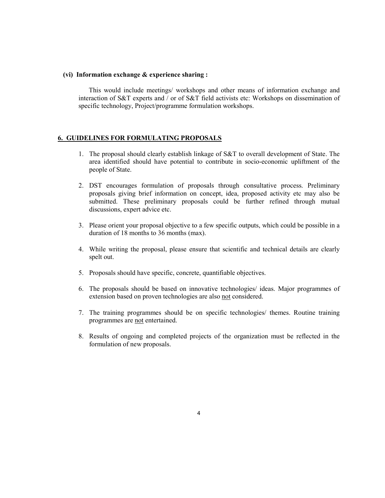### **(vi) Information exchange & experience sharing :**

This would include meetings/ workshops and other means of information exchange and interaction of S&T experts and / or of S&T field activists etc: Workshops on dissemination of specific technology, Project/programme formulation workshops.

# **6. GUIDELINES FOR FORMULATING PROPOSALS**

- 1. The proposal should clearly establish linkage of S&T to overall development of State. The area identified should have potential to contribute in socio-economic upliftment of the people of State.
- 2. DST encourages formulation of proposals through consultative process. Preliminary proposals giving brief information on concept, idea, proposed activity etc may also be submitted. These preliminary proposals could be further refined through mutual discussions, expert advice etc.
- 3. Please orient your proposal objective to a few specific outputs, which could be possible in a duration of 18 months to 36 months (max).
- 4. While writing the proposal, please ensure that scientific and technical details are clearly spelt out.
- 5. Proposals should have specific, concrete, quantifiable objectives.
- 6. The proposals should be based on innovative technologies/ ideas. Major programmes of extension based on proven technologies are also not considered.
- 7. The training programmes should be on specific technologies/ themes. Routine training programmes are not entertained.
- 8. Results of ongoing and completed projects of the organization must be reflected in the formulation of new proposals.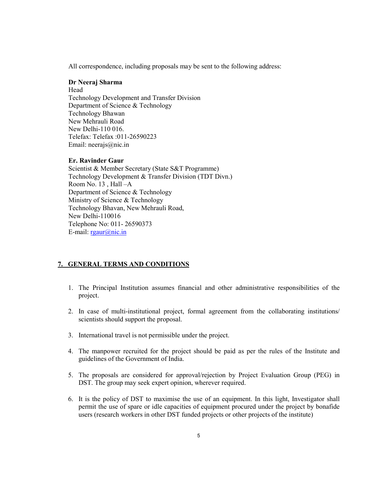All correspondence, including proposals may be sent to the following address:

#### **Dr Neeraj Sharma**

Head Technology Development and Transfer Division Department of Science & Technology Technology Bhawan New Mehrauli Road New Delhi-110 016. Telefax: Telefax :011-26590223 Email: neerajs@nic.in

#### **Er. Ravinder Gaur**

Scientist & Member Secretary (State S&T Programme) Technology Development & Transfer Division (TDT Divn.) Room No. 13 , Hall –A Department of Science & Technology Ministry of Science & Technology Technology Bhavan, New Mehrauli Road, New Delhi-110016 Telephone No: 011- 26590373 E-mail: rgaur@nic.in

# **7. GENERAL TERMS AND CONDITIONS**

- 1. The Principal Institution assumes financial and other administrative responsibilities of the project.
- 2. In case of multi-institutional project, formal agreement from the collaborating institutions/ scientists should support the proposal.
- 3. International travel is not permissible under the project.
- 4. The manpower recruited for the project should be paid as per the rules of the Institute and guidelines of the Government of India.
- 5. The proposals are considered for approval/rejection by Project Evaluation Group (PEG) in DST. The group may seek expert opinion, wherever required.
- 6. It is the policy of DST to maximise the use of an equipment. In this light, Investigator shall permit the use of spare or idle capacities of equipment procured under the project by bonafide users (research workers in other DST funded projects or other projects of the institute)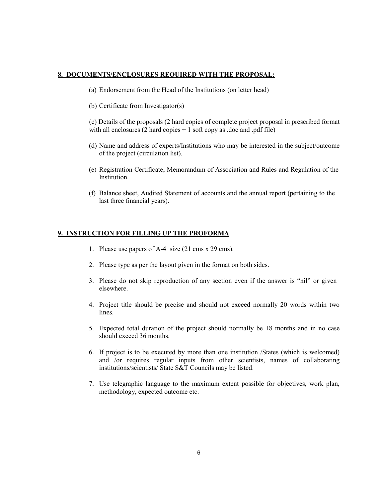## **8. DOCUMENTS/ENCLOSURES REQUIRED WITH THE PROPOSAL:**

- (a) Endorsement from the Head of the Institutions (on letter head)
- (b) Certificate from Investigator(s)

(c) Details of the proposals (2 hard copies of complete project proposal in prescribed format with all enclosures  $(2 \text{ hard copies} + 1 \text{ soft copy as } . \text{doc and } . \text{pdf file})$ 

- (d) Name and address of experts/Institutions who may be interested in the subject/outcome of the project (circulation list).
- (e) Registration Certificate, Memorandum of Association and Rules and Regulation of the Institution.
- (f) Balance sheet, Audited Statement of accounts and the annual report (pertaining to the last three financial years).

# **9. INSTRUCTION FOR FILLING UP THE PROFORMA**

- 1. Please use papers of A-4 size (21 cms x 29 cms).
- 2. Please type as per the layout given in the format on both sides.
- 3. Please do not skip reproduction of any section even if the answer is "nil" or given elsewhere.
- 4. Project title should be precise and should not exceed normally 20 words within two lines.
- 5. Expected total duration of the project should normally be 18 months and in no case should exceed 36 months.
- 6. If project is to be executed by more than one institution /States (which is welcomed) and /or requires regular inputs from other scientists, names of collaborating institutions/scientists/ State S&T Councils may be listed.
- 7. Use telegraphic language to the maximum extent possible for objectives, work plan, methodology, expected outcome etc.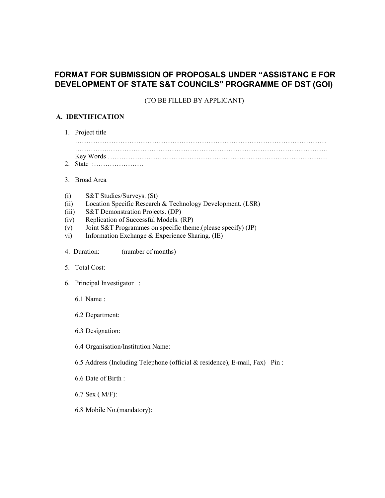# **FORMAT FOR SUBMISSION OF PROPOSALS UNDER "ASSISTANC E FOR DEVELOPMENT OF STATE S&T COUNCILS" PROGRAMME OF DST (GOI)**

(TO BE FILLED BY APPLICANT)

# **A. IDENTIFICATION**

| 1. Project title |
|------------------|
|                  |
|                  |
|                  |

- 3. Broad Area
- (i) S&T Studies/Surveys. (St)
- (ii) Location Specific Research & Technology Development. (LSR)
- (iii) S&T Demonstration Projects. (DP)
- (iv) Replication of Successful Models. (RP)
- (v) Joint S&T Programmes on specific theme.(please specify) (JP)
- vi) Information Exchange & Experience Sharing. (IE)
- 4. Duration: (number of months)
- 5. Total Cost:
- 6. Principal Investigator :
	- 6.1 Name :
	- 6.2 Department:
	- 6.3 Designation:
	- 6.4 Organisation/Institution Name:
	- 6.5 Address (Including Telephone (official & residence), E-mail, Fax) Pin :
	- 6.6 Date of Birth :
	- 6.7 Sex ( M/F):
	- 6.8 Mobile No.(mandatory):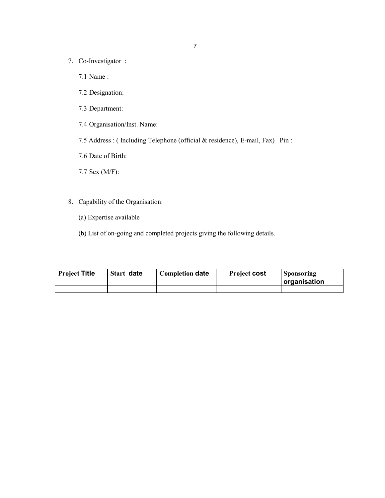- 7. Co-Investigator :
	- 7.1 Name :
	- 7.2 Designation:
	- 7.3 Department:
	- 7.4 Organisation/Inst. Name:
	- 7.5 Address : ( Including Telephone (official & residence), E-mail, Fax) Pin :
	- 7.6 Date of Birth:
	- 7.7 Sex (M/F):
- 8. Capability of the Organisation:
	- (a) Expertise available
	- (b) List of on-going and completed projects giving the following details.

| <b>Project Title</b> | Start date | <b>Completion date</b> | <b>Project cost</b> | <i>Sponsoring</i><br>  organisation |
|----------------------|------------|------------------------|---------------------|-------------------------------------|
|                      |            |                        |                     |                                     |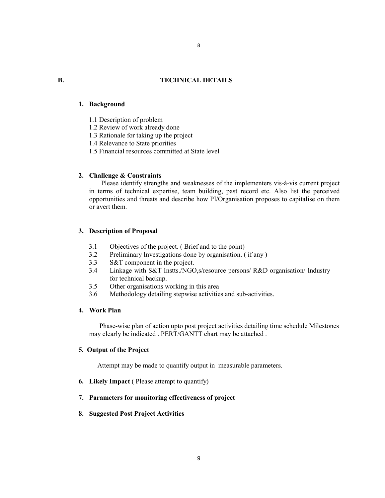# **B. TECHNICAL DETAILS**

8

# **1. Background**

- 1.1 Description of problem
- 1.2 Review of work already done
- 1.3 Rationale for taking up the project
- 1.4 Relevance to State priorities
- 1.5 Financial resources committed at State level

### **2. Challenge & Constraints**

Please identify strengths and weaknesses of the implementers vis-à-vis current project in terms of technical expertise, team building, past record etc. Also list the perceived opportunities and threats and describe how PI/Organisation proposes to capitalise on them or avert them.

# **3. Description of Proposal**

- 3.1 Objectives of the project. ( Brief and to the point)
- 3.2 Preliminary Investigations done by organisation. ( if any )
- 3.3 S&T component in the project.
- 3.4 Linkage with S&T Instts./NGO,s/resource persons/ R&D organisation/ Industry for technical backup.
- 3.5 Other organisations working in this area
- 3.6 Methodology detailing stepwise activities and sub-activities.

### **4. Work Plan**

Phase-wise plan of action upto post project activities detailing time schedule Milestones may clearly be indicated . PERT/GANTT chart may be attached .

### **5. Output of the Project**

Attempt may be made to quantify output in measurable parameters.

**6. Likely Impact** ( Please attempt to quantify)

# **7. Parameters for monitoring effectiveness of project**

# **8. Suggested Post Project Activities**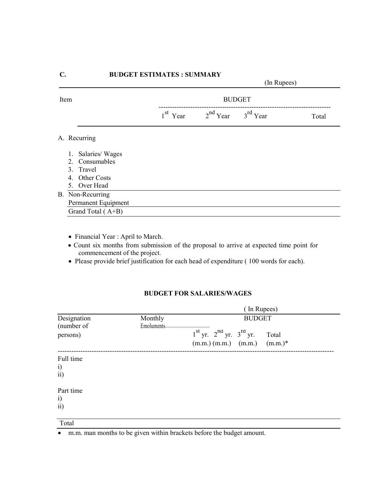|      |                                                                                    |               |                                  | $($ <i>m</i> $\ldots$ $\mu$ $\ldots$ $\mu$ |       |
|------|------------------------------------------------------------------------------------|---------------|----------------------------------|--------------------------------------------|-------|
| Item |                                                                                    | <b>BUDGET</b> |                                  |                                            |       |
|      |                                                                                    |               | $1st$ Year $2nd$ Year $3rd$ Year |                                            | Total |
|      | A. Recurring                                                                       |               |                                  |                                            |       |
|      | 1. Salaries/Wages<br>2. Consumables<br>3. Travel<br>4. Other Costs<br>5. Over Head |               |                                  |                                            |       |
|      | B. Non-Recurring<br>Permanent Equipment                                            |               |                                  |                                            |       |
|      | Grand Total (A+B)                                                                  |               |                                  |                                            |       |

(In Rupees)

- Financial Year : April to March.
- Count six months from submission of the proposal to arrive at expected time point for commencement of the project.
- Please provide brief justification for each head of expenditure ( 100 words for each).

# **BUDGET FOR SALARIES/WAGES**

|                                              |         | (In Rupees)                                                        |  |  |  |
|----------------------------------------------|---------|--------------------------------------------------------------------|--|--|--|
| Designation<br>(number of                    | Monthly | <b>BUDGET</b>                                                      |  |  |  |
| persons)                                     |         | $1st$ yr. $2nd$ yr. $3rd$ yr. Total<br>(m.m.) (m.m.) (m.m.) (m.m.) |  |  |  |
| Full time<br>$\ddot{i}$<br>$\overline{ii}$   |         |                                                                    |  |  |  |
| Part time<br>$\ddot{i}$<br>$\overline{ii}$ ) |         |                                                                    |  |  |  |
| Total                                        |         |                                                                    |  |  |  |

m.m. man months to be given within brackets before the budget amount.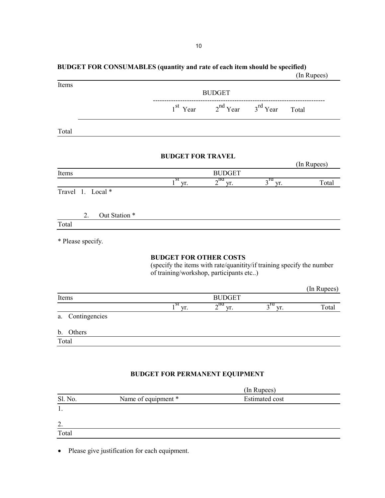|                                                   |                                       |                                                                                                                                                   |                                      | (In Rupees) |       |  |
|---------------------------------------------------|---------------------------------------|---------------------------------------------------------------------------------------------------------------------------------------------------|--------------------------------------|-------------|-------|--|
| Items                                             |                                       | <b>BUDGET</b>                                                                                                                                     |                                      |             |       |  |
|                                                   | $1st$ Year                            |                                                                                                                                                   | $2^{nd}$ Year $3^{rd}$ Year          | Total       |       |  |
| Total                                             |                                       |                                                                                                                                                   |                                      |             |       |  |
|                                                   |                                       | <b>BUDGET FOR TRAVEL</b>                                                                                                                          |                                      |             |       |  |
| Items                                             |                                       | <b>BUDGET</b>                                                                                                                                     |                                      | (In Rupees) |       |  |
|                                                   | $1^{\text{st}}$<br>yr.                | $\frac{1}{2^{n\alpha}}$<br>yr.                                                                                                                    | $3^{ra}$<br>yr.                      |             | Total |  |
| Travel 1. Local*                                  |                                       |                                                                                                                                                   |                                      |             |       |  |
| Out Station *<br>2.                               |                                       |                                                                                                                                                   |                                      |             |       |  |
| Total                                             |                                       |                                                                                                                                                   |                                      |             |       |  |
|                                                   |                                       |                                                                                                                                                   |                                      |             |       |  |
|                                                   |                                       |                                                                                                                                                   |                                      |             |       |  |
|                                                   |                                       | <b>BUDGET FOR OTHER COSTS</b><br>(specify the items with rate/quanitity/if training specify the number<br>of training/workshop, participants etc) |                                      |             |       |  |
|                                                   |                                       |                                                                                                                                                   |                                      |             |       |  |
|                                                   |                                       | <b>BUDGET</b>                                                                                                                                     |                                      | (In Rupees) |       |  |
|                                                   | $1^{\overline{\text{st}}}$<br>yr.     | $2^{na}$<br>yr.                                                                                                                                   | $3^{ra}$<br>yr.                      |             | Total |  |
| * Please specify.<br>Items<br>Contingencies<br>a. |                                       |                                                                                                                                                   |                                      |             |       |  |
|                                                   |                                       |                                                                                                                                                   |                                      |             |       |  |
| Others                                            |                                       |                                                                                                                                                   |                                      |             |       |  |
|                                                   |                                       |                                                                                                                                                   |                                      |             |       |  |
|                                                   |                                       |                                                                                                                                                   |                                      |             |       |  |
|                                                   | <b>BUDGET FOR PERMANENT EQUIPMENT</b> |                                                                                                                                                   |                                      |             |       |  |
|                                                   |                                       |                                                                                                                                                   |                                      |             |       |  |
|                                                   | Name of equipment *                   |                                                                                                                                                   | (In Rupees)<br><b>Estimated</b> cost |             |       |  |
|                                                   |                                       |                                                                                                                                                   |                                      |             |       |  |
| b.<br>Total<br>Sl. No.<br>1.<br>2.                |                                       |                                                                                                                                                   |                                      |             |       |  |

• Please give justification for each equipment.

10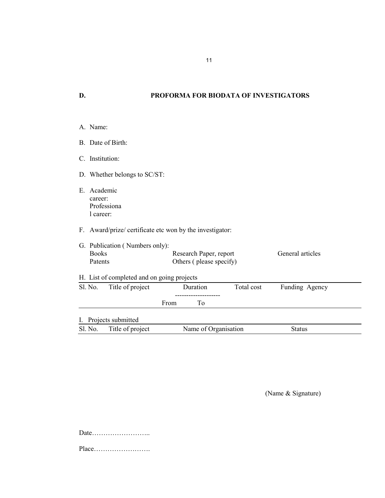| D.                                                 | PROFORMA FOR BIODATA OF INVESTIGATORS                 |            |                  |
|----------------------------------------------------|-------------------------------------------------------|------------|------------------|
|                                                    |                                                       |            |                  |
| A. Name:                                           |                                                       |            |                  |
| B. Date of Birth:                                  |                                                       |            |                  |
| C. Institution:                                    |                                                       |            |                  |
| D. Whether belongs to SC/ST:                       |                                                       |            |                  |
| E. Academic<br>career:<br>Professiona<br>1 career: |                                                       |            |                  |
| F.                                                 | Award/prize/ certificate etc won by the investigator: |            |                  |
| G. Publication (Numbers only):                     |                                                       |            |                  |
| <b>Books</b><br>Patents                            | Research Paper, report<br>Others (please specify)     |            | General articles |
| H. List of completed and on going projects         |                                                       |            |                  |
| Sl. No.<br>Title of project                        | Duration                                              | Total cost | Funding Agency   |
|                                                    | From<br>To                                            |            |                  |
| Projects submitted                                 |                                                       |            |                  |
| Sl. No.<br>Title of project                        | Name of Organisation                                  |            | <b>Status</b>    |

(Name & Signature)

Date…………………….. Place……………………. 11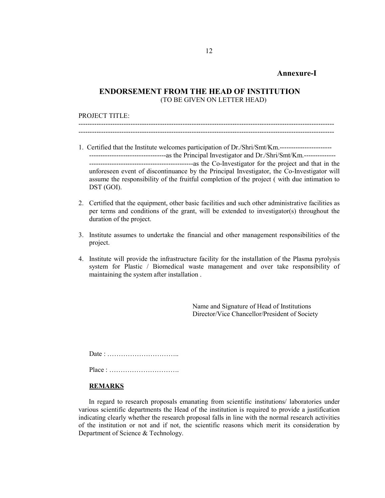# **Annexure-I**

# **ENDORSEMENT FROM THE HEAD OF INSTITUTION** (TO BE GIVEN ON LETTER HEAD)

#### PROJECT TITLE:

----------------------------------------------------------------------------------------------------------------- -----------------------------------------------------------------------------------------------------------------

- 1. Certified that the Institute welcomes participation of Dr./Shri/Smt/Km.----------------------- ----------------------------------as the Principal Investigator and Dr./Shri/Smt/Km.-------------- ----------------------------------------------as the Co-Investigator for the project and that in the unforeseen event of discontinuance by the Principal Investigator, the Co-Investigator will assume the responsibility of the fruitful completion of the project ( with due intimation to DST (GOI).
- 2. Certified that the equipment, other basic facilities and such other administrative facilities as per terms and conditions of the grant, will be extended to investigator(s) throughout the duration of the project.
- 3. Institute assumes to undertake the financial and other management responsibilities of the project.
- 4. Institute will provide the infrastructure facility for the installation of the Plasma pyrolysis system for Plastic / Biomedical waste management and over take responsibility of maintaining the system after installation .

Name and Signature of Head of Institutions Director/Vice Chancellor/President of Society

Date : …………………………..

Place : ………………………….

# **REMARKS**

In regard to research proposals emanating from scientific institutions/ laboratories under various scientific departments the Head of the institution is required to provide a justification indicating clearly whether the research proposal falls in line with the normal research activities of the institution or not and if not, the scientific reasons which merit its consideration by Department of Science & Technology.